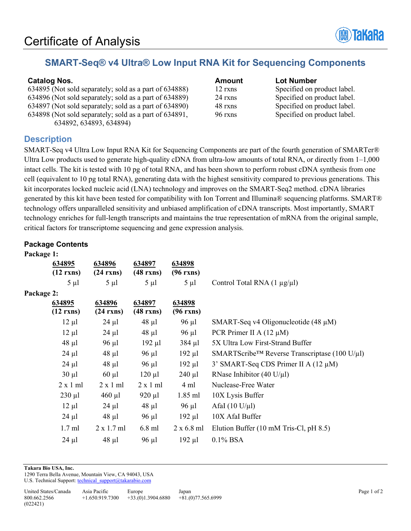

# **SMART-Seq® v4 Ultra® Low Input RNA Kit for Sequencing Components**

#### **Catalog Nos. Catalog Nos. Amount Lot Number**

| 634895 (Not sold separately; sold as a part of 634888) | 12r  |
|--------------------------------------------------------|------|
| 634896 (Not sold separately; sold as a part of 634889) | 24r  |
| 634897 (Not sold separately; sold as a part of 634890) | 48 r |
| 634898 (Not sold separately; sold as a part of 634891, | 96 r |
| 634892, 634893, 634894)                                |      |

know specified on product label. know sold separately sold separately; sold as  $S$  product label. kns specified on product label. xns Specified on product label.

# **Description**

SMART-Seq v4 Ultra Low Input RNA Kit for Sequencing Components are part of the fourth generation of SMARTer® Ultra Low products used to generate high-quality cDNA from ultra-low amounts of total RNA, or directly from 1–1,000 intact cells. The kit is tested with 10 pg of total RNA, and has been shown to perform robust cDNA synthesis from one cell (equivalent to 10 pg total RNA), generating data with the highest sensitivity compared to previous generations. This kit incorporates locked nucleic acid (LNA) technology and improves on the SMART-Seq2 method. cDNA libraries generated by this kit have been tested for compatibility with Ion Torrent and Illumina® sequencing platforms. SMART® technology offers unparalleled sensitivity and unbiased amplification of cDNA transcripts. Most importantly, SMART technology enriches for full-length transcripts and maintains the true representation of mRNA from the original sample, critical factors for transcriptome sequencing and gene expression analysis.

#### **Package Contents**

| Package 1: |                 |                   |                    |                   |                                                                  |
|------------|-----------------|-------------------|--------------------|-------------------|------------------------------------------------------------------|
|            | 634895          | 634896            | 634897             | 634898            |                                                                  |
|            | $(12$ rxns)     | $(24$ rxns)       | $(48 \text{ rxs})$ | $(96$ rxns)       |                                                                  |
|            | $5 \mu l$       | $5 \mu l$         | $5 \mu l$          | $5 \mu l$         | Control Total RNA $(1 \mu g/\mu l)$                              |
| Package 2: |                 |                   |                    |                   |                                                                  |
|            | 634895          | 634896            | 634897             | 634898            |                                                                  |
|            | $(12$ rxns)     | $(24$ rxns)       | $(48 \text{ rxs})$ | $(96$ rxns)       |                                                                  |
|            | $12 \mu l$      | $24 \mu l$        | $48 \mu l$         | $96 \mu l$        | SMART-Seq v4 Oligonucleotide $(48 \mu M)$                        |
|            | $12 \mu l$      | $24 \mu l$        | $48 \mu l$         | 96 µl             | PCR Primer II A $(12 \mu M)$                                     |
|            | $48 \mu l$      | $96 \mu l$        | $192 \mu l$        | $384 \mu l$       | 5X Ultra Low First-Strand Buffer                                 |
|            | $24 \mu l$      | $48 \mu l$        | $96 \mu l$         | $192 \mu l$       | SMARTScribe <sup>TM</sup> Reverse Transcriptase (100 U/ $\mu$ l) |
|            | $24 \mu l$      | $48 \mu l$        | $96 \mu l$         | $192 \mu l$       | 3' SMART-Seq CDS Primer II A $(12 \mu M)$                        |
|            | $30 \mu l$      | $60 \mu l$        | $120 \mu l$        | $240 \mu l$       | RNase Inhibitor (40 U/ $\mu$ l)                                  |
|            | $2 \times 1$ ml | $2 \times 1$ ml   | $2 \times 1$ ml    | 4 ml              | Nuclease-Free Water                                              |
|            | $230 \mu l$     | $460 \mu l$       | $920 \mu l$        | $1.85$ ml         | 10X Lysis Buffer                                                 |
|            | $12 \mu l$      | $24 \mu l$        | $48 \mu l$         | 96 µl             | AfaI $(10 \text{ U}/\mu\text{l})$                                |
|            | $24 \mu l$      | $48 \mu l$        | $96 \mu l$         | $192 \mu l$       | 10X AfaI Buffer                                                  |
|            | $1.7$ ml        | $2 \times 1.7$ ml | $6.8$ ml           | $2 \times 6.8$ ml | Elution Buffer (10 mM Tris-Cl, pH 8.5)                           |
|            | $24 \mu l$      | $48 \mu l$        | $96 \mu l$         | $192 \mu l$       | $0.1\%$ BSA                                                      |

**Takara Bio USA, Inc.** 

1290 Terra Bella Avenue, Mountain View, CA 94043, USA U.S. Technical Support[: technical\\_support@takarabio.com](mailto:technical_support@takarabio.com)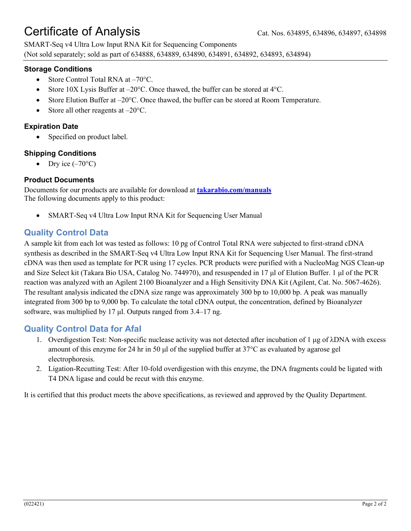# Certificate of Analysis Cat. Nos. 634895, 634896, 634897, 634898

SMART-Seq v4 Ultra Low Input RNA Kit for Sequencing Components (Not sold separately; sold as part of 634888, 634889, 634890, 634891, 634892, 634893, 634894)

## **Storage Conditions**

- Store Control Total RNA at -70°C.
- Store 10X Lysis Buffer at  $-20^{\circ}$ C. Once thawed, the buffer can be stored at 4 $^{\circ}$ C.
- Store Elution Buffer at  $-20^{\circ}$ C. Once thawed, the buffer can be stored at Room Temperature.
- Store all other reagents at  $-20^{\circ}$ C.

## **Expiration Date**

Specified on product label.

## **Shipping Conditions**

• Dry ice  $(-70^{\circ}C)$ 

## **Product Documents**

Documents for our products are available for download at **[takarabio.com/manuals](http://www.takarabio.com/manuals)** The following documents apply to this product:

• SMART-Seq v4 Ultra Low Input RNA Kit for Sequencing User Manual

# **Quality Control Data**

A sample kit from each lot was tested as follows: 10 pg of Control Total RNA were subjected to first-strand cDNA synthesis as described in the SMART-Seq v4 Ultra Low Input RNA Kit for Sequencing User Manual. The first-strand cDNA was then used as template for PCR using 17 cycles. PCR products were purified with a NucleoMag NGS Clean-up and Size Select kit (Takara Bio USA, Catalog No. 744970), and resuspended in 17 μl of Elution Buffer. 1 μl of the PCR reaction was analyzed with an Agilent 2100 Bioanalyzer and a High Sensitivity DNA Kit (Agilent, Cat. No. 5067-4626). The resultant analysis indicated the cDNA size range was approximately 300 bp to 10,000 bp. A peak was manually integrated from 300 bp to 9,000 bp. To calculate the total cDNA output, the concentration, defined by Bioanalyzer software, was multiplied by 17 μl. Outputs ranged from 3.4–17 ng.

# **Quality Control Data for AfaI**

- 1. Overdigestion Test: Non-specific nuclease activity was not detected after incubation of 1 μg of λDNA with excess amount of this enzyme for 24 hr in 50 μl of the supplied buffer at 37°C as evaluated by agarose gel electrophoresis.
- 2. Ligation-Recutting Test: After 10-fold overdigestion with this enzyme, the DNA fragments could be ligated with T4 DNA ligase and could be recut with this enzyme.

It is certified that this product meets the above specifications, as reviewed and approved by the Quality Department.